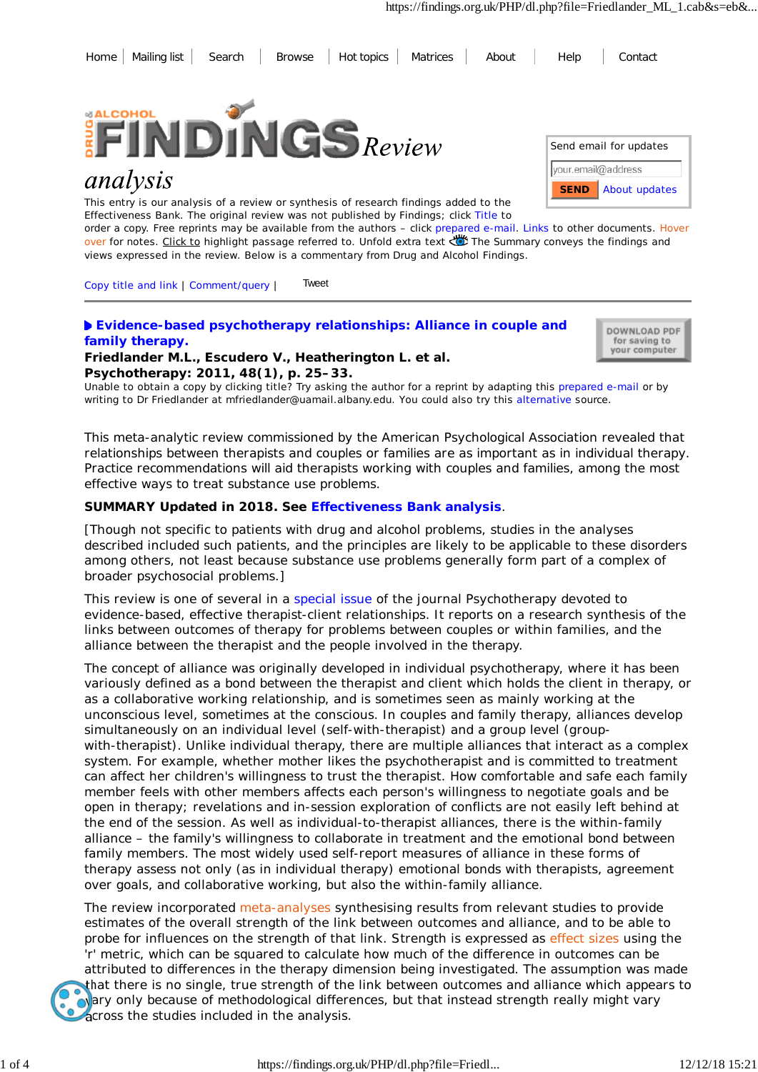



# analysis

This entry is our analysis of a review or synthesis of research findings added to the Effectiveness Bank. The original review was not published by Findings; click Title to

| Send email for updates |               |
|------------------------|---------------|
| your.email@address     |               |
| <b>SEND</b>            | About updates |

order a copy. Free reprints may be available from the authors – click prepared e-mail. Links to other documents. Hover over for notes. Click to highlight passage referred to. Unfold extra text Wife Summary conveys the findings and views expressed in the review. Below is a commentary from Drug and Alcohol Findings.

Copy title and link | Comment/query | Tweet

# **Evidence-based psychotherapy relationships: Alliance in couple and family therapy. Friedlander M.L., Escudero V., Heatherington L. et al.**

DOWNLOAD PDF for saving to your computer

**Psychotherapy: 2011, 48(1), p. 25–33.** Unable to obtain a copy by clicking title? Try asking the author for a reprint by adapting this prepared e-mail or by writing to Dr Friedlander at mfriedlander@uamail.albany.edu. You could also try this alternative source.

*This meta-analytic review commissioned by the American Psychological Association revealed that relationships between therapists and couples or families are as important as in individual therapy. Practice recommendations will aid therapists working with couples and families, among the most effective ways to treat substance use problems.*

# **SUMMARY Updated in 2018. See Effectiveness Bank analysis**.

[Though not specific to patients with drug and alcohol problems, studies in the analyses described included such patients, and the principles are likely to be applicable to these disorders among others, not least because substance use problems generally form part of a complex of broader psychosocial problems.]

This review is one of several in a special issue of the journal *Psychotherapy* devoted to evidence-based, effective therapist-client relationships. It reports on a research synthesis of the links between outcomes of therapy for problems between couples or within families, and the alliance between the therapist and the people involved in the therapy.

The concept of alliance was originally developed in individual psychotherapy, where it has been variously defined as a bond between the therapist and client which holds the client in therapy, or as a collaborative working relationship, and is sometimes seen as mainly working at the unconscious level, sometimes at the conscious. In couples and family therapy, alliances develop simultaneously on an individual level (self-with-therapist) and a group level (groupwith-therapist). Unlike individual therapy, there are multiple alliances that interact as a complex system. For example, whether mother likes the psychotherapist and is committed to treatment can affect her children's willingness to trust the therapist. How comfortable and safe each family member feels with other members affects each person's willingness to negotiate goals and be open in therapy; revelations and in-session exploration of conflicts are not easily left behind at the end of the session. As well as individual-to-therapist alliances, there is the within-family alliance – the family's willingness to collaborate in treatment and the emotional bond between family members. The most widely used self-report measures of alliance in these forms of therapy assess not only (as in individual therapy) emotional bonds with therapists, agreement over goals, and collaborative working, but also the within-family alliance.

The review incorporated meta-analyses synthesising results from relevant studies to provide estimates of the overall strength of the link between outcomes and alliance, and to be able to probe for influences on the strength of that link. Strength is expressed as effect sizes using the 'r' metric, which can be squared to calculate how much of the difference in outcomes can be attributed to differences in the therapy dimension being investigated. The assumption was made that there is no single, true strength of the link between outcomes and alliance which appears to ovary only because of methodological differences, but that instead strength really might vary across the studies included in the analysis.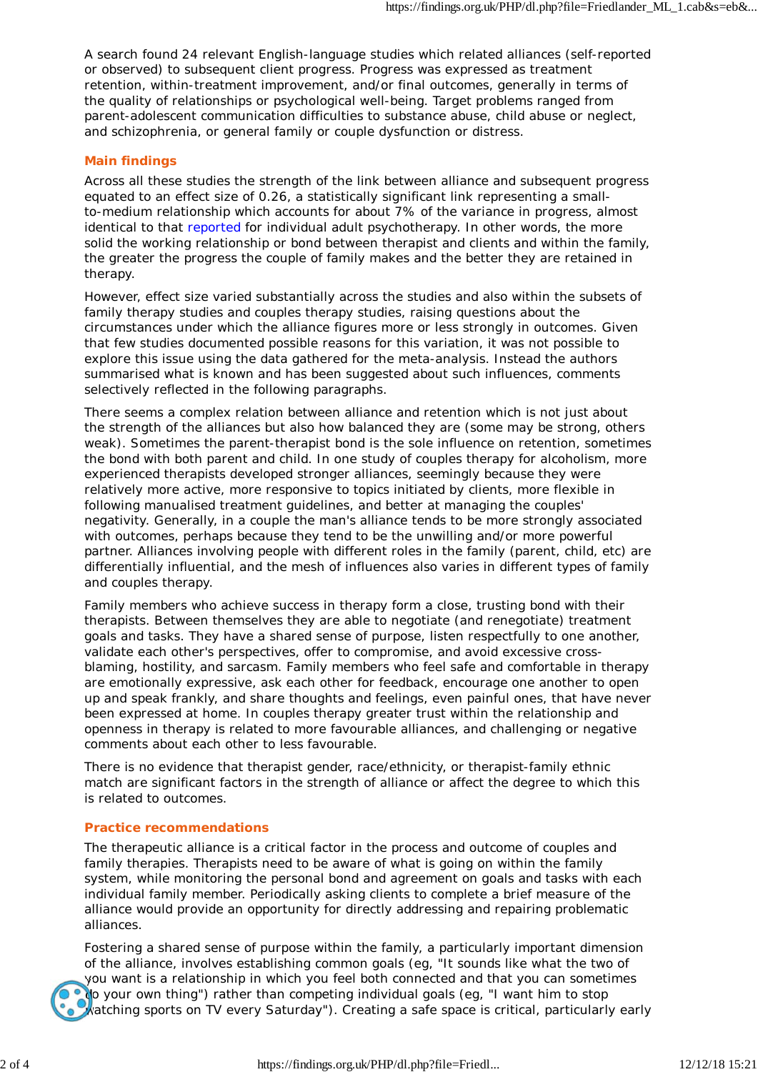A search found 24 relevant English-language studies which related alliances (self-reported or observed) to subsequent client progress. Progress was expressed as treatment retention, within-treatment improvement, and/or final outcomes, generally in terms of the quality of relationships or psychological well-being. Target problems ranged from parent-adolescent communication difficulties to substance abuse, child abuse or neglect, and schizophrenia, or general family or couple dysfunction or distress.

## **Main findings**

Across all these studies the strength of the link between alliance and subsequent progress equated to an effect size of 0.26, a statistically significant link representing a smallto-medium relationship which accounts for about 7% of the variance in progress, almost identical to that reported for individual adult psychotherapy. In other words, the more solid the working relationship or bond between therapist and clients and within the family, the greater the progress the couple of family makes and the better they are retained in therapy.

However, effect size varied substantially across the studies and also within the subsets of family therapy studies and couples therapy studies, raising questions about the circumstances under which the alliance figures more or less strongly in outcomes. Given that few studies documented possible reasons for this variation, it was not possible to explore this issue using the data gathered for the meta-analysis. Instead the authors summarised what is known and has been suggested about such influences, comments selectively reflected in the following paragraphs.

There seems a complex relation between alliance and retention which is not just about the strength of the alliances but also how balanced they are (some may be strong, others weak). Sometimes the parent-therapist bond is the sole influence on retention, sometimes the bond with both parent and child. In one study of couples therapy for alcoholism, more experienced therapists developed stronger alliances, seemingly because they were relatively more active, more responsive to topics initiated by clients, more flexible in following manualised treatment guidelines, and better at managing the couples' negativity. Generally, in a couple the man's alliance tends to be more strongly associated with outcomes, perhaps because they tend to be the unwilling and/or more powerful partner. Alliances involving people with different roles in the family (parent, child, etc) are differentially influential, and the mesh of influences also varies in different types of family and couples therapy.

Family members who achieve success in therapy form a close, trusting bond with their therapists. Between themselves they are able to negotiate (and renegotiate) treatment goals and tasks. They have a shared sense of purpose, listen respectfully to one another, validate each other's perspectives, offer to compromise, and avoid excessive crossblaming, hostility, and sarcasm. Family members who feel safe and comfortable in therapy are emotionally expressive, ask each other for feedback, encourage one another to open up and speak frankly, and share thoughts and feelings, even painful ones, that have never been expressed at home. In couples therapy greater trust within the relationship and openness in therapy is related to more favourable alliances, and challenging or negative comments about each other to less favourable.

There is no evidence that therapist gender, race/ethnicity, or therapist-family ethnic match are significant factors in the strength of alliance or affect the degree to which this is related to outcomes.

### **Practice recommendations**

The therapeutic alliance is a critical factor in the process and outcome of couples and family therapies. Therapists need to be aware of what is going on within the family system, while monitoring the personal bond and agreement on goals and tasks with each individual family member. Periodically asking clients to complete a brief measure of the alliance would provide an opportunity for directly addressing and repairing problematic alliances.

Fostering a shared sense of purpose within the family, a particularly important dimension of the alliance, involves establishing common goals (eg, "It sounds like what the two of you want is a relationship in which you feel both connected and that you can sometimes odo your own thing") rather than competing individual goals (eg, "I want him to stop watching sports on TV every Saturday"). Creating a safe space is critical, particularly early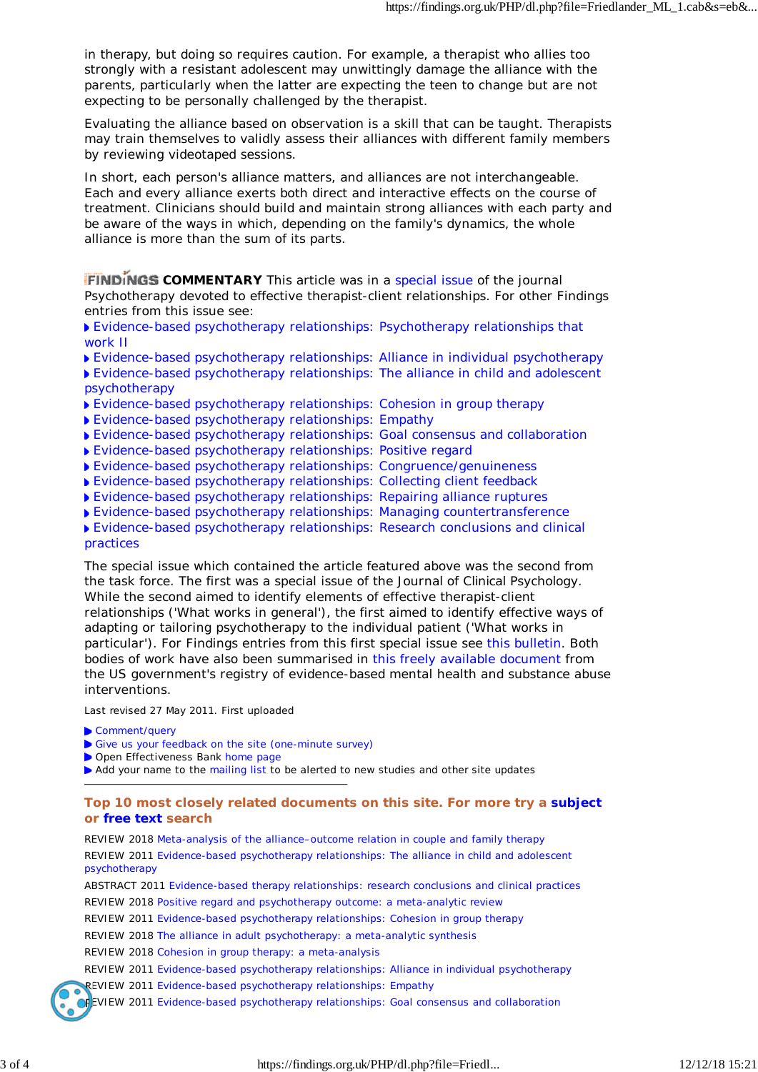in therapy, but doing so requires caution. For example, a therapist who allies too strongly with a resistant adolescent may unwittingly damage the alliance with the parents, particularly when the latter are expecting the teen to change but are not expecting to be personally challenged by the therapist.

Evaluating the alliance based on observation is a skill that can be taught. Therapists may train themselves to validly assess their alliances with different family members by reviewing videotaped sessions.

In short, each person's alliance matters, and alliances are not interchangeable. Each and every alliance exerts both direct and interactive effects on the course of treatment. Clinicians should build and maintain strong alliances with each party and be aware of the ways in which, depending on the family's dynamics, the whole alliance is more than the sum of its parts.

**FINDINGS COMMENTARY** This article was in a special issue of the journal *Psychotherapy* devoted to effective therapist-client relationships. For other Findings entries from this issue see:

Evidence-based psychotherapy relationships: Psychotherapy relationships that work II

- Evidence-based psychotherapy relationships: Alliance in individual psychotherapy
- Evidence-based psychotherapy relationships: The alliance in child and adolescent psychotherapy
- Evidence-based psychotherapy relationships: Cohesion in group therapy
- Evidence-based psychotherapy relationships: Empathy
- Evidence-based psychotherapy relationships: Goal consensus and collaboration
- Evidence-based psychotherapy relationships: Positive regard
	-
- Evidence-based psychotherapy relationships: Congruence/genuineness Evidence-based psychotherapy relationships: Collecting client feedback
- Evidence-based psychotherapy relationships: Repairing alliance ruptures
	-
- Evidence-based psychotherapy relationships: Managing countertransference
- Evidence-based psychotherapy relationships: Research conclusions and clinical practices

The special issue which contained the article featured above was the second from the task force. The first was a special issue of the *Journal of Clinical Psychology*. While the second aimed to identify elements of effective therapist-client relationships ('What works in general'), the first aimed to identify effective ways of adapting or tailoring psychotherapy to the individual patient ('What works in particular'). For Findings entries from this first special issue see this bulletin. Both bodies of work have also been summarised in this freely available document from the US government's registry of evidence-based mental health and substance abuse interventions.

Last revised 27 May 2011. First uploaded

- Comment/query
- Give us your feedback on the site (one-minute survey)
- Open Effectiveness Bank home page
- Add your name to the mailing list to be alerted to new studies and other site updates

### **Top 10 most closely related documents on this site. For more try a subject or free text search**

REVIEW 2018 Meta-analysis of the alliance–outcome relation in couple and family therapy REVIEW 2011 Evidence-based psychotherapy relationships: The alliance in child and adolescent psychotherapy

ABSTRACT 2011 Evidence-based therapy relationships: research conclusions and clinical practices REVIEW 2018 Positive regard and psychotherapy outcome: a meta-analytic review

REVIEW 2011 Evidence-based psychotherapy relationships: Cohesion in group therapy

REVIEW 2018 The alliance in adult psychotherapy: a meta-analytic synthesis

REVIEW 2018 Cohesion in group therapy: a meta-analysis

REVIEW 2011 Evidence-based psychotherapy relationships: Alliance in individual psychotherapy

REVIEW 2011 Evidence-based psychotherapy relationships: Empathy

**CF**EVIEW 2011 Evidence-based psychotherapy relationships: Goal consensus and collaboration